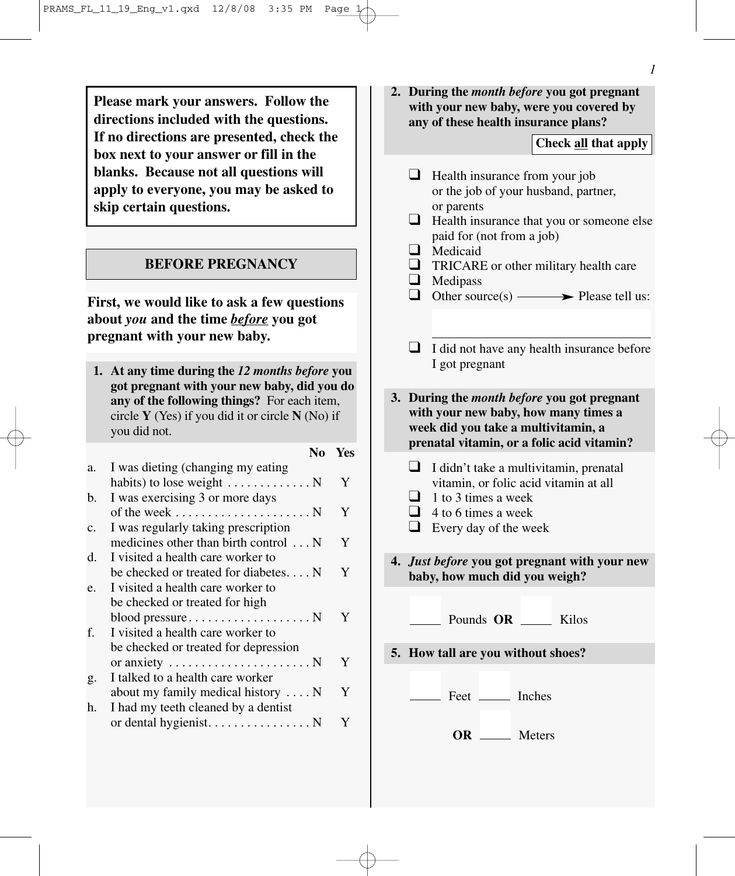**Please mark your answers. Follow the directions included with the questions. If no directions are presented, check the box next to your answer or fill in the blanks. Because not all questions will apply to everyone, you may be asked to skip certain questions.**

### **BEFORE PREGNANCY**

**First, we would like to ask a few questions about** *you* **and the time** *before* **you got pregnant with your new baby.** 

**1. At any time during the** *12 months before* **you got pregnant with your new baby, did you do any of the following things?** For each item, circle **Y** (Yes) if you did it or circle **N** (No) if

|    | you did not.                                            |     |     |
|----|---------------------------------------------------------|-----|-----|
|    |                                                         | No. | Yes |
| a. | I was dieting (changing my eating                       |     |     |
|    | habits) to lose weight $\dots \dots \dots \dots$        |     | Y   |
| b. | I was exercising 3 or more days                         |     |     |
|    | of the week $\dots \dots \dots \dots \dots \dots \dots$ |     | Y   |
| c. | I was regularly taking prescription                     |     |     |
|    | medicines other than birth control  N                   |     | Y   |
| d. | I visited a health care worker to                       |     |     |
|    | be checked or treated for diabetes $N$                  |     | Y   |
| e. | I visited a health care worker to                       |     |     |
|    | be checked or treated for high                          |     |     |
|    |                                                         |     | Y   |
| f. | I visited a health care worker to                       |     |     |
|    | be checked or treated for depression                    |     |     |
|    | or anxiety $\dots \dots \dots \dots \dots \dots \dots$  |     | Y   |
| g. | I talked to a health care worker                        |     |     |
|    | about my family medical history $\dots$ N               |     | Y   |
| h. | I had my teeth cleaned by a dentist                     |     |     |
|    | or dental hygienist. N                                  |     | Y   |
|    |                                                         |     |     |

**2. During the** *month before* **you got pregnant with your new baby, were you covered by any of these health insurance plans?**

#### **Check all that apply**

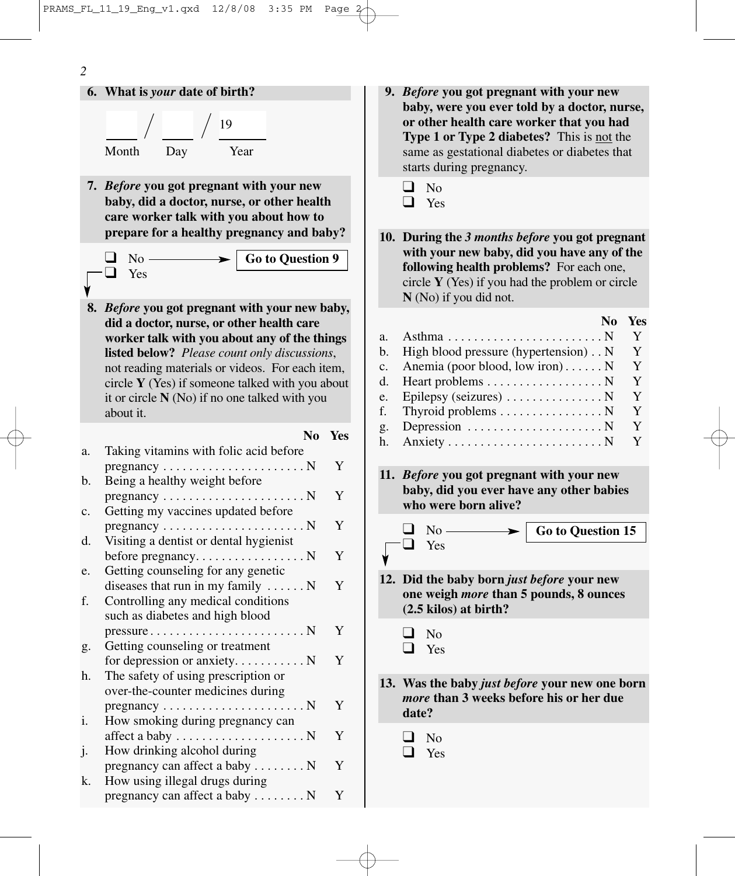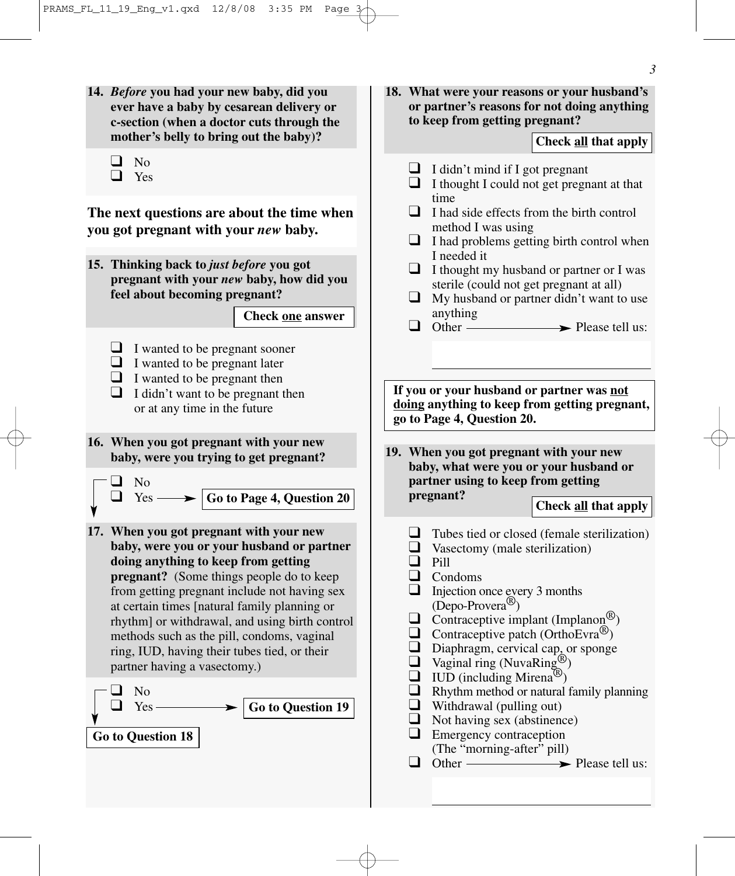**14.** *Before* **you had your new baby, did you ever have a baby by cesarean delivery or c-section (when a doctor cuts through the mother's belly to bring out the baby)?**

| ֚֚֚֡<br>л |
|-----------|
|           |

❑ Yes

**The next questions are about the time when you got pregnant with your** *new* **baby.**

**15. Thinking back to** *just before* **you got pregnant with your** *new* **baby, how did you feel about becoming pregnant?**

**Check one answer**

- ❑ I wanted to be pregnant sooner
- $\Box$  I wanted to be pregnant later
- $\Box$  I wanted to be pregnant then
- $\Box$  I didn't want to be pregnant then or at any time in the future
- **16. When you got pregnant with your new baby, were you trying to get pregnant?**

$$
\begin{array}{c}\n\Box \quad \text{No} \\
\Box \quad \text{Yes} \longrightarrow \boxed{\text{Go to Page 4, Question 20}}\n\end{array}
$$

**17. When you got pregnant with your new baby, were you or your husband or partner doing anything to keep from getting pregnant?** (Some things people do to keep from getting pregnant include not having sex at certain times [natural family planning or rhythm] or withdrawal, and using birth control methods such as the pill, condoms, vaginal ring, IUD, having their tubes tied, or their partner having a vasectomy.)



**18. What were your reasons or your husband's or partner's reasons for not doing anything to keep from getting pregnant?**

### **Check all that apply**

- $\Box$  I didn't mind if I got pregnant
- ❑ I thought I could not get pregnant at that time
- ❑ I had side effects from the birth control method I was using
- ❑ I had problems getting birth control when I needed it
- ❑ I thought my husband or partner or I was sterile (could not get pregnant at all)
- $\Box$  My husband or partner didn't want to use anything<br> $\Box$  Other —
- $\rightarrow$  Please tell us:

**If you or your husband or partner was not doing anything to keep from getting pregnant, go to Page 4, Question 20.**

**19. When you got pregnant with your new baby, what were you or your husband or partner using to keep from getting pregnant?** 

- $\Box$  Tubes tied or closed (female sterilization)
- ❑ Vasectomy (male sterilization)
- ❑ Pill
- ❑ Condoms
- ❑ Injection once every 3 months (Depo-Provera®)
- $\Box$  Contraceptive implant (Implanon<sup>®</sup>)
- $\Box$  Contraceptive patch (OrthoEvra<sup>®</sup>)
- ❑ Diaphragm, cervical cap, or sponge
- $\Box$  Vaginal ring (NuvaRing<sup>®</sup>)
- $\Box$  IUD (including Mirena<sup>(R)</sup>)
- ❑ Rhythm method or natural family planning
- $\Box$  Withdrawal (pulling out)
- ❑ Not having sex (abstinence)
- ❑ Emergency contraception (The "morning-after" pill)<br>
Other



**Check all that apply**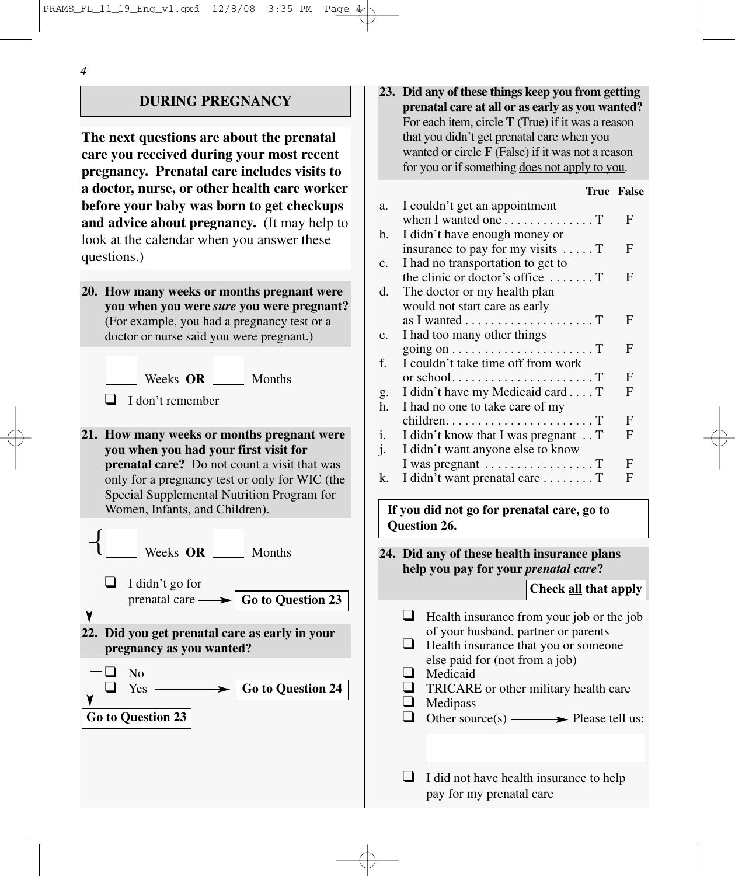### **DURING PREGNANCY**

**The next questions are about the prenatal care you received during your most recent pregnancy. Prenatal care includes visits to a doctor, nurse, or other health care worker before your baby was born to get checkups and advice about pregnancy.** (It may help to look at the calendar when you answer these questions.)

**20. How many weeks or months pregnant were you when you were** *sure* **you were pregnant?** (For example, you had a pregnancy test or a doctor or nurse said you were pregnant.)

Weeks **OR** Months

- ❑ I don't remember
- **21. How many weeks or months pregnant were you when you had your first visit for prenatal care?** Do not count a visit that was only for a pregnancy test or only for WIC (the Special Supplemental Nutrition Program for Women, Infants, and Children).



**23. Did any of these things keep you from getting prenatal care at all or as early as you wanted?** For each item, circle **T** (True) if it was a reason that you didn't get prenatal care when you wanted or circle **F** (False) if it was not a reason for you or if something does not apply to you.

#### **True False** a. I couldn't get an appointment when I wanted one  $\dots \dots \dots \dots \dots$  T b. I didn't have enough money or insurance to pay for my visits  $\dots$ . T F c. I had no transportation to get to the clinic or doctor's office  $\dots$ .  $T$  F d. The doctor or my health plan would not start care as early as I wanted  $\dots \dots \dots \dots \dots \dots \dots$ e. I had too many other things going on . . . . . . . . . . . . . . . . . . . . . . T F f. I couldn't take time off from work or school......................... $T$  F g. I didn't have my Medicaid card .  $\ldots$  T F h. I had no one to take care of my  $children. \ldots \ldots \ldots \ldots \ldots \ldots \ldots \text{T}$  F i. I didn't know that I was pregnant  $\therefore$  T F j. I didn't want anyone else to know I was pregnant  $\dots \dots \dots \dots \dots \dots$ k. I didn't want prenatal care  $\dots \dots \dots$  T

**If you did not go for prenatal care, go to Question 26.**

**24. Did any of these health insurance plans help you pay for your** *prenatal care***?**

#### **Check all that apply**

- ❑ Health insurance from your job or the job of your husband, partner or parents
- ❑ Health insurance that you or someone else paid for (not from a job)
- ❑ Medicaid
- ❑ TRICARE or other military health care
- ❑ Medipass
- $\Box$  Other source(s)  $\longrightarrow$  Please tell us:
- $\Box$  I did not have health insurance to help pay for my prenatal care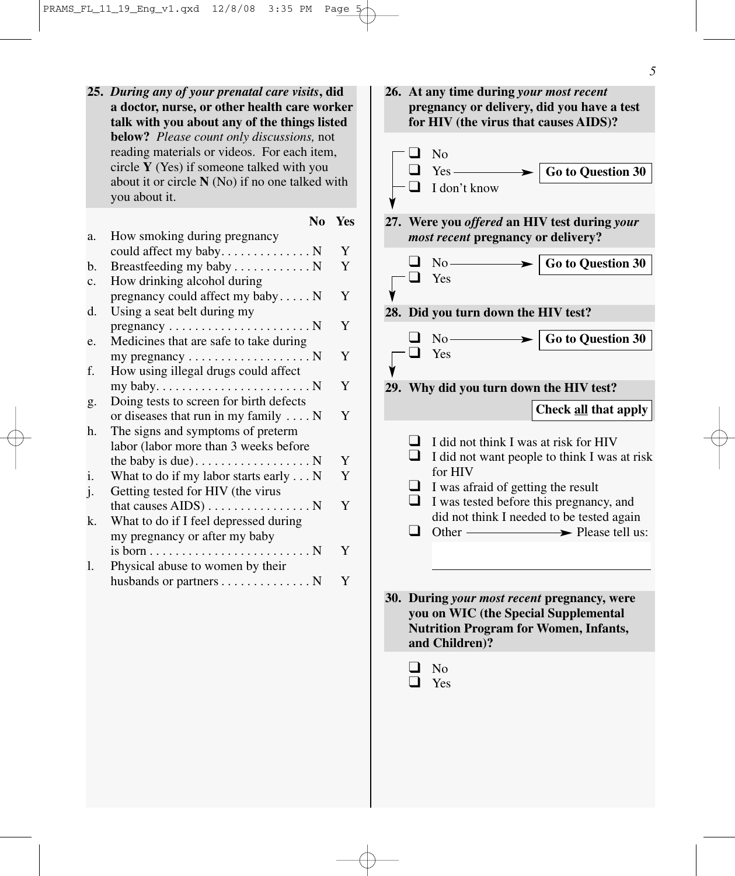**25.** *During any of your prenatal care visits***, did a doctor, nurse, or other health care worker talk with you about any of the things listed below?** *Please count only discussions,* not reading materials or videos. For each item, circle **Y** (Yes) if someone talked with you about it or circle **N** (No) if no one talked with you about it.

|                |                                                              | N0 | <b>Yes</b> |
|----------------|--------------------------------------------------------------|----|------------|
| a.             | How smoking during pregnancy                                 |    |            |
|                |                                                              |    | Y          |
| b.             | Breastfeeding my baby N                                      |    | Y          |
| c.             | How drinking alcohol during                                  |    |            |
|                | pregnancy could affect my baby $N$                           |    | Y          |
| d.             | Using a seat belt during my                                  |    |            |
|                | $pregnancy \ldots \ldots \ldots \ldots \ldots \ldots \ldots$ |    | Y          |
| e.             | Medicines that are safe to take during                       |    |            |
|                | my pregnancy $\dots \dots \dots \dots \dots \dots$           |    | Y          |
| f.             | How using illegal drugs could affect                         |    |            |
|                |                                                              |    | Y          |
| g.             | Doing tests to screen for birth defects                      |    |            |
|                | or diseases that run in my family $\dots$ N                  |    | Y          |
| h.             | The signs and symptoms of preterm                            |    |            |
|                | labor (labor more than 3 weeks before                        |    |            |
|                | the baby is due). $\dots$ N                                  |    | Y          |
| $\mathbf{i}$ . | What to do if my labor starts early N                        |    | Y          |
| j.             | Getting tested for HIV (the virus                            |    |            |
|                | that causes $AIDS$ ) N                                       |    | Y          |
| k.             | What to do if I feel depressed during                        |    |            |
|                | my pregnancy or after my baby                                |    |            |
|                |                                                              |    | Y          |
| 1.             | Physical abuse to women by their                             |    |            |
|                | husbands or partners $\dots \dots \dots \dots \dots$         |    | Y          |
|                |                                                              |    |            |

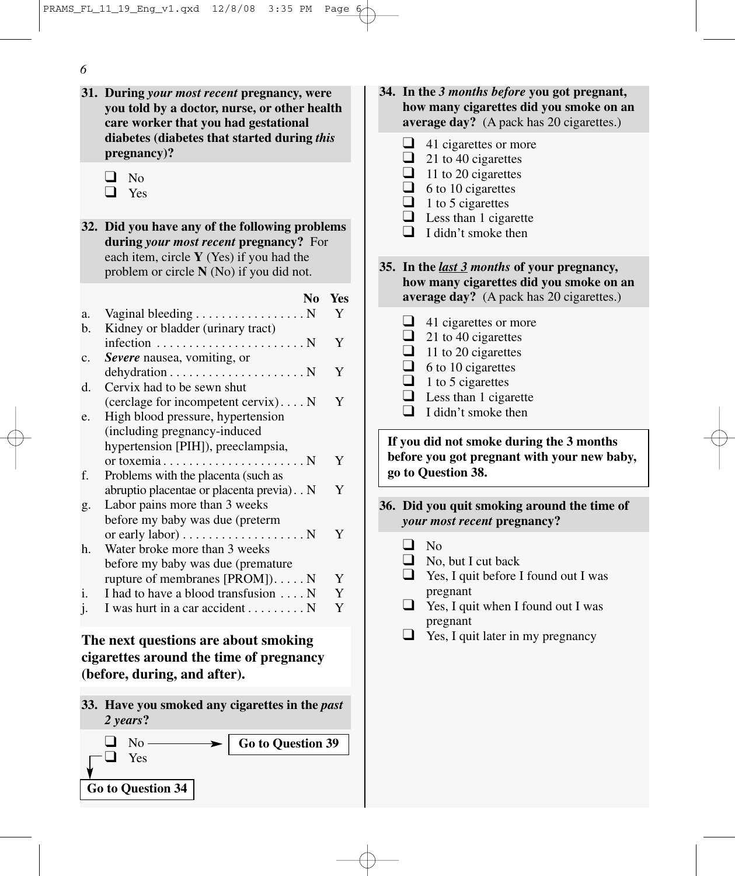- **31. During** *your most recent* **pregnancy, were you told by a doctor, nurse, or other health care worker that you had gestational diabetes (diabetes that started during** *this* **pregnancy)?**
	- ❑ No
	- ❑ Yes
- **32. Did you have any of the following problems during** *your most recent* **pregnancy?** For each item, circle **Y** (Yes) if you had the problem or circle **N** (No) if you did not.

|              | N <sub>0</sub>                                                 | Yes |
|--------------|----------------------------------------------------------------|-----|
| a.           | Vaginal bleeding N                                             | Y   |
| b.           | Kidney or bladder (urinary tract)                              |     |
|              | infection $\dots \dots \dots \dots \dots \dots \dots \dots$    | Y   |
| c.           | <b>Severe</b> nausea, vomiting, or                             |     |
|              | $dehydration \ldots \ldots \ldots \ldots \ldots \ldots \ldots$ | Y   |
| d.           | Cervix had to be sewn shut                                     |     |
|              | (cerclage for incompetent cervix) $N$                          | Y   |
| e.           | High blood pressure, hypertension                              |     |
|              | (including pregnancy-induced)                                  |     |
|              | hypertension [PIH]), preeclampsia,                             |     |
|              |                                                                | Y   |
| f.           | Problems with the placenta (such as                            |     |
|              | abruptio placentae or placenta previa). N                      | Y   |
| g.           | Labor pains more than 3 weeks                                  |     |
|              | before my baby was due (preterm                                |     |
|              | or early labor) $\dots \dots \dots \dots \dots \dots$          | Y   |
| h.           | Water broke more than 3 weeks                                  |     |
|              | before my baby was due (premature                              |     |
|              | rupture of membranes $[PROM]$ ) N                              | Y   |
| i.           | I had to have a blood transfusion N                            | Y   |
| $\mathbf{J}$ | I was hurt in a car accident $\dots \dots \dots$               | Y   |

# **The next questions are about smoking cigarettes around the time of pregnancy (before, during, and after).**

**33. Have you smoked any cigarettes in the** *past 2 years***?**



- **34. In the** *3 months before* **you got pregnant, how many cigarettes did you smoke on an average day?** (A pack has 20 cigarettes.)
	- ❑ 41 cigarettes or more  $\Box$  21 to 40 cigarettes
	- $\Box$  11 to 20 cigarettes
	- $\Box$  6 to 10 cigarettes
	- $\Box$  1 to 5 cigarettes
	- $\Box$  Less than 1 cigarette
	- $\Box$  I didn't smoke then
- **35. In the** *last 3 months* **of your pregnancy, how many cigarettes did you smoke on an average day?** (A pack has 20 cigarettes.)
	- $\Box$  41 cigarettes or more
	- $\Box$  21 to 40 cigarettes
	- $\Box$  11 to 20 cigarettes
	- $\Box$  6 to 10 cigarettes
	- $\Box$  1 to 5 cigarettes
	- $\Box$  Less than 1 cigarette
	- $\Box$  I didn't smoke then

**If you did not smoke during the 3 months before you got pregnant with your new baby, go to Question 38.**

- **36. Did you quit smoking around the time of** *your most recent* **pregnancy?** 
	- ❑ No
	- $\Box$  No, but I cut back
	- ❑ Yes, I quit before I found out I was pregnant
	- $\Box$  Yes, I quit when I found out I was pregnant
	- $\Box$  Yes, I quit later in my pregnancy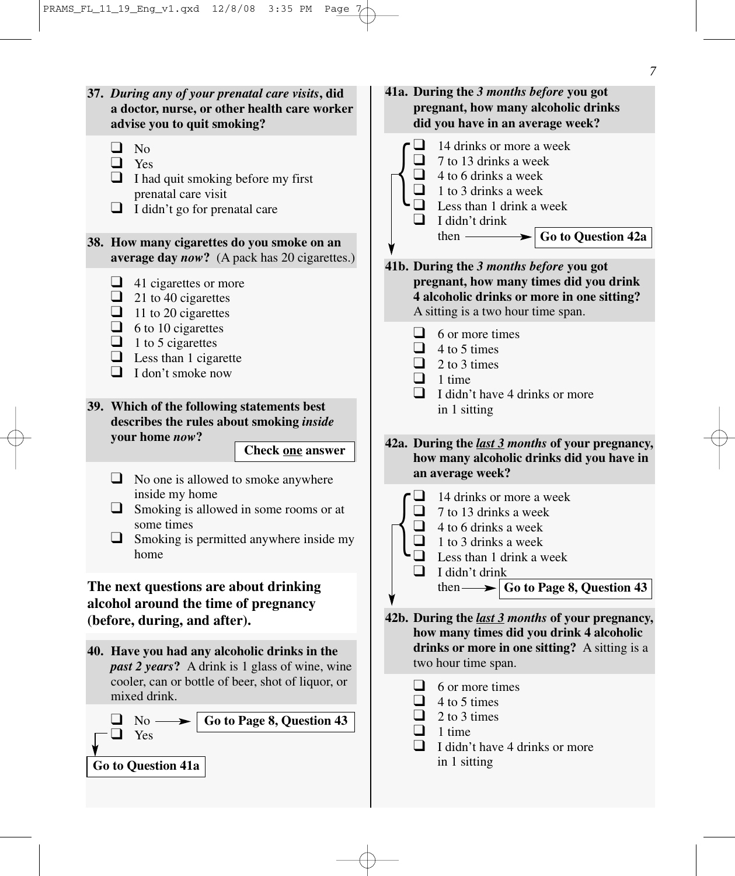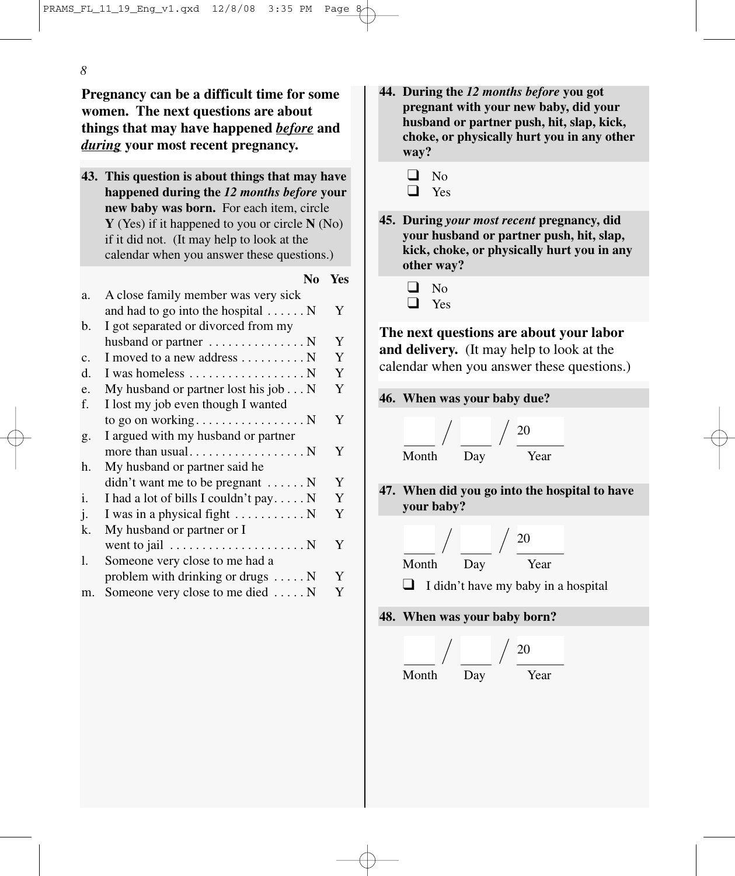**Pregnancy can be a difficult time for some women. The next questions are about things that may have happened** *before* **and** *during* **your most recent pregnancy.**

**43. This question is about things that may have happened during the** *12 months before* **your new baby was born.** For each item, circle **Y** (Yes) if it happened to you or circle **N** (No) if it did not. (It may help to look at the calendar when you answer these questions.)

#### **No Yes**

| a. | A close family member was very sick                      |   |
|----|----------------------------------------------------------|---|
|    | and had to go into the hospital  N                       | Y |
| b. | I got separated or divorced from my                      |   |
|    | husband or partner $\dots \dots \dots \dots \dots$       | Y |
| c. | I moved to a new address $\dots \dots \dots$             | Y |
| d. | I was homeless $\dots \dots \dots \dots \dots \dots$     | Y |
| e. | My husband or partner lost his job $\dots$ N             | Y |
| f. | I lost my job even though I wanted                       |   |
|    |                                                          | Y |
| g. | I argued with my husband or partner                      |   |
|    |                                                          | Y |
| h. | My husband or partner said he                            |   |
|    | $\text{d}$ didn't want me to be pregnant $\dots \dots N$ | Y |
| i. | I had a lot of bills I couldn't pay N                    | Y |
| j. | I was in a physical fight  N                             | Y |
| k. | My husband or partner or I                               |   |
|    | went to jail $\dots \dots \dots \dots \dots \dots \dots$ | Y |
| 1. | Someone very close to me had a                           |   |
|    | problem with drinking or drugs N                         | Y |
| m. | Someone very close to me died  N                         | Y |
|    |                                                          |   |

- **44. During the** *12 months before* **you got pregnant with your new baby, did your husband or partner push, hit, slap, kick, choke, or physically hurt you in any other way?**
	- $\Box$  No
	- ❑ Yes
- **45. During** *your most recent* **pregnancy, did your husband or partner push, hit, slap, kick, choke, or physically hurt you in any other way?**
	- ❑ No
	- ❑ Yes

**The next questions are about your labor and delivery.** (It may help to look at the calendar when you answer these questions.)

**46. When was your baby due?**

$$
\frac{1}{\sqrt{2}} \int \frac{1}{\sqrt{2}} \frac{1}{\sqrt{2}} \frac{1}{\sqrt{2}} \frac{1}{\sqrt{2}} \frac{1}{\sqrt{2}} \frac{1}{\sqrt{2}} \frac{1}{\sqrt{2}} \frac{1}{\sqrt{2}} \frac{1}{\sqrt{2}} \frac{1}{\sqrt{2}} \frac{1}{\sqrt{2}} \frac{1}{\sqrt{2}} \frac{1}{\sqrt{2}} \frac{1}{\sqrt{2}} \frac{1}{\sqrt{2}} \frac{1}{\sqrt{2}} \frac{1}{\sqrt{2}} \frac{1}{\sqrt{2}} \frac{1}{\sqrt{2}} \frac{1}{\sqrt{2}} \frac{1}{\sqrt{2}} \frac{1}{\sqrt{2}} \frac{1}{\sqrt{2}} \frac{1}{\sqrt{2}} \frac{1}{\sqrt{2}} \frac{1}{\sqrt{2}} \frac{1}{\sqrt{2}} \frac{1}{\sqrt{2}} \frac{1}{\sqrt{2}} \frac{1}{\sqrt{2}} \frac{1}{\sqrt{2}} \frac{1}{\sqrt{2}} \frac{1}{\sqrt{2}} \frac{1}{\sqrt{2}} \frac{1}{\sqrt{2}} \frac{1}{\sqrt{2}} \frac{1}{\sqrt{2}} \frac{1}{\sqrt{2}} \frac{1}{\sqrt{2}} \frac{1}{\sqrt{2}} \frac{1}{\sqrt{2}} \frac{1}{\sqrt{2}} \frac{1}{\sqrt{2}} \frac{1}{\sqrt{2}} \frac{1}{\sqrt{2}} \frac{1}{\sqrt{2}} \frac{1}{\sqrt{2}} \frac{1}{\sqrt{2}} \frac{1}{\sqrt{2}} \frac{1}{\sqrt{2}} \frac{1}{\sqrt{2}} \frac{1}{\sqrt{2}} \frac{1}{\sqrt{2}} \frac{1}{\sqrt{2}} \frac{1}{\sqrt{2}} \frac{1}{\sqrt{2}} \frac{1}{\sqrt{2}} \frac{1}{\sqrt{2}} \frac{1}{\sqrt{2}} \frac{1}{\sqrt{2}} \frac{1}{\sqrt{2}} \frac{1}{\sqrt{2}} \frac{1}{\sqrt{2}} \frac{1}{\sqrt{2}} \frac{1}{\sqrt{2}} \frac{1}{\sqrt{2}} \frac{1}{\sqrt{2}} \frac{1}{\sqrt{2}} \frac{1}{\sqrt{2}} \frac{1}{\sqrt{2}} \frac{1}{\sqrt{2}} \frac{1}{\sqrt{2}} \frac{1}{\sqrt{2}} \frac{1}{\sqrt{2}} \frac{1}{\sqrt{
$$

**47. When did you go into the hospital to have your baby?**

20

Month Day Year

❑ I didn't have my baby in a hospital

**48. When was your baby born?**

Month Day Year 20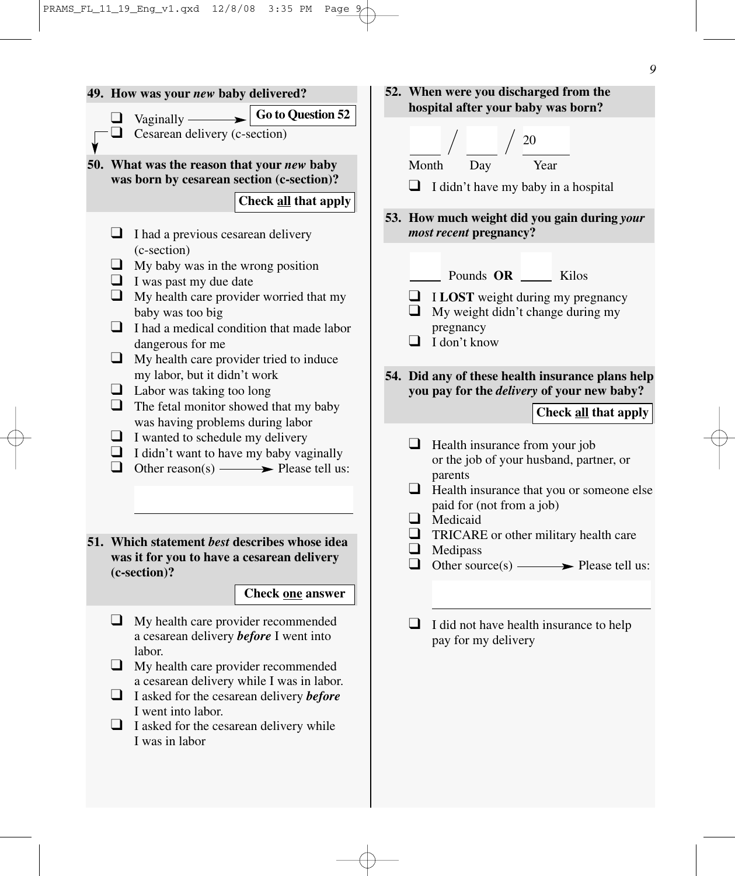

*9*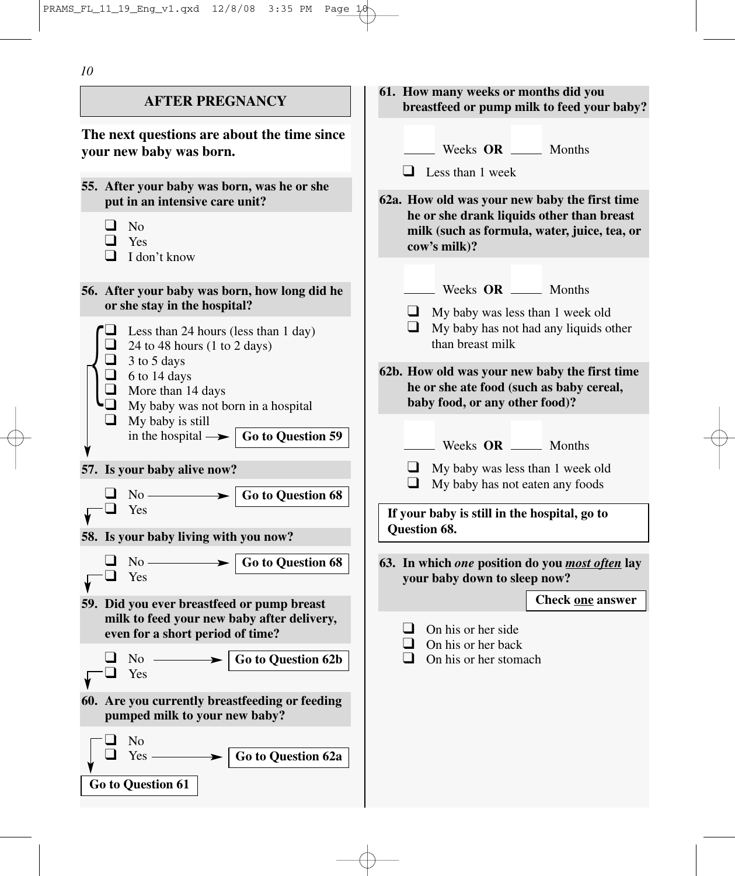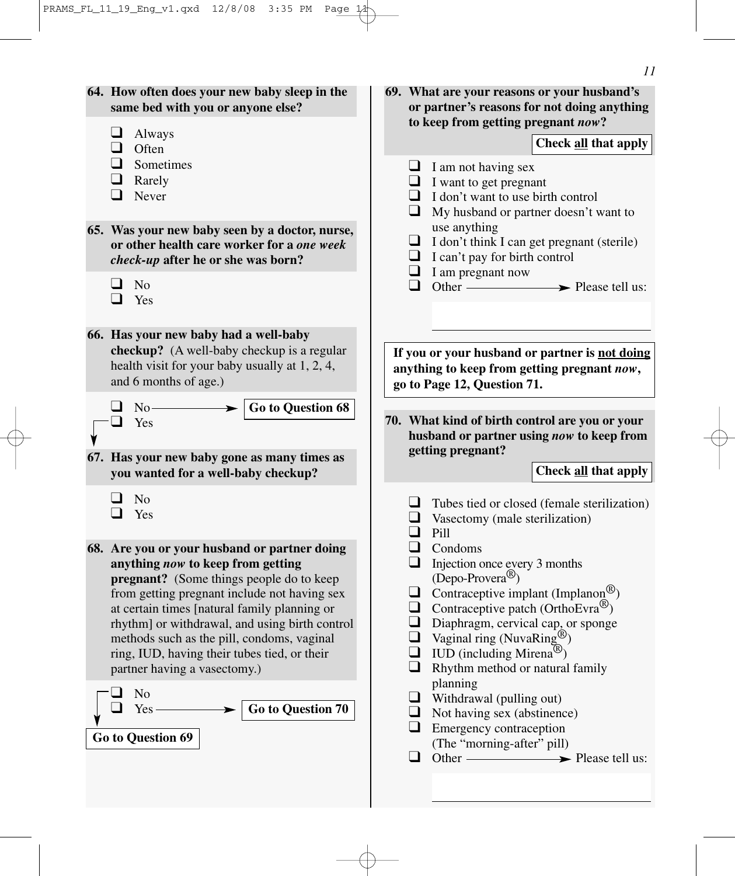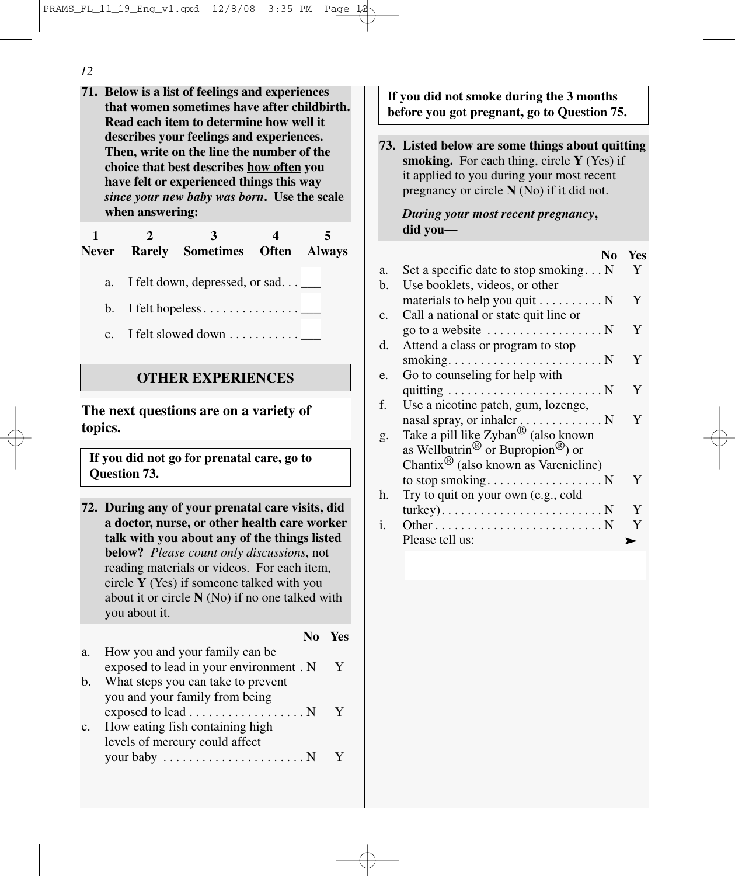- *12*
- **71. Below is a list of feelings and experiences that women sometimes have after childbirth. Read each item to determine how well it describes your feelings and experiences. Then, write on the line the number of the choice that best describes how often you have felt or experienced things this way** *since your new baby was born***. Use the scale when answering:**

**1 2 3 45 Never Rarely Sometimes Often Always**

- a. I felt down, depressed, or sad...
- b. I felt hopeless . . . . . . . . . . . . . . . \_\_\_
- c. I felt slowed down  $\dots$ ........

### **OTHER EXPERIENCES**

**The next questions are on a variety of topics.**

**If you did not go for prenatal care, go to Question 73.**

**72. During any of your prenatal care visits, did a doctor, nurse, or other health care worker talk with you about any of the things listed below?** *Please count only discussions*, not reading materials or videos. For each item, circle **Y** (Yes) if someone talked with you about it or circle **N** (No) if no one talked with you about it.

**No Yes**

| a.             | How you and your family can be.                       |  |
|----------------|-------------------------------------------------------|--|
|                | exposed to lead in your environment. N                |  |
| $\mathbf{b}$ . | What steps you can take to prevent                    |  |
|                | you and your family from being                        |  |
|                | exposed to lead N                                     |  |
| c.             | How eating fish containing high                       |  |
|                | levels of mercury could affect                        |  |
|                | your baby $\dots \dots \dots \dots \dots \dots \dots$ |  |
|                |                                                       |  |

**If you did not smoke during the 3 months before you got pregnant, go to Question 75.**

**73. Listed below are some things about quitting smoking.** For each thing, circle **Y** (Yes) if it applied to you during your most recent pregnancy or circle **N** (No) if it did not.

*During your most recent pregnancy***, did you—**

|    | No                                                        | Yes |
|----|-----------------------------------------------------------|-----|
| a. | Set a specific date to stop smoking $N$                   | Y   |
| b. | Use booklets, videos, or other                            |     |
|    | materials to help you quit $\dots \dots \dots$            | Y   |
| c. | Call a national or state quit line or                     |     |
|    | go to a website $\dots \dots \dots \dots \dots \dots$     | Y   |
| d. | Attend a class or program to stop                         |     |
|    |                                                           | Y   |
| e. | Go to counseling for help with                            |     |
|    |                                                           | Y   |
| f. | Use a nicotine patch, gum, lozenge,                       |     |
|    |                                                           | Y   |
| g. | Take a pill like Zyban <sup>®</sup> (also known           |     |
|    | as Wellbutrin <sup>®</sup> or Bupropion <sup>®</sup> ) or |     |
|    | Chantix <sup>(B)</sup> (also known as Varenicline)        |     |
|    |                                                           | Y   |
| h. | Try to quit on your own (e.g., cold                       |     |
|    |                                                           | Y   |
|    |                                                           | Y   |
| i. |                                                           |     |
|    | Please tell us: ——                                        |     |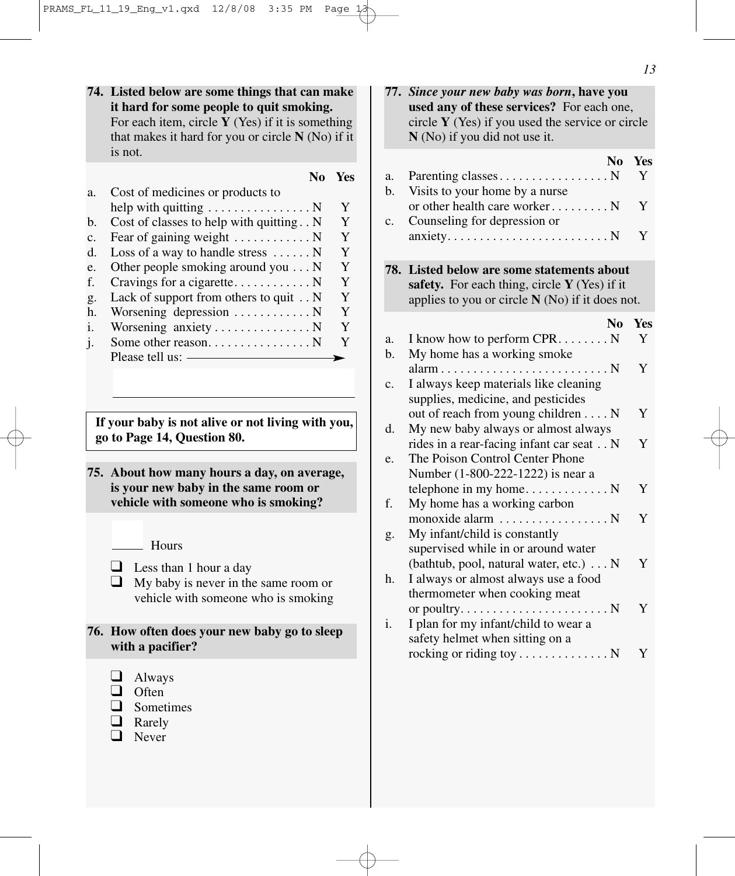**74. Listed below are some things that can make it hard for some people to quit smoking.** For each item, circle **Y** (Yes) if it is something that makes it hard for you or circle **N** (No) if it is not.

|    |                                                  | Yes |
|----|--------------------------------------------------|-----|
| a. | Cost of medicines or products to                 |     |
|    |                                                  | Y   |
| b. | Cost of classes to help with quitting. . N       | Y   |
| c. | Fear of gaining weight $\dots \dots \dots \dots$ | Y   |
| d. | Loss of a way to handle stress $\dots \dots N$   | Y   |
| e. | Other people smoking around you $\dots N$        | Y   |
| f. |                                                  | Y   |
| g. | Lack of support from others to quit $\ldots$ N   | Y   |
| h. | Worsening depression $\dots \dots \dots \dots$   | Y   |
| i. |                                                  | Y   |
| j. | Some other reason. N                             | Y   |
|    | Please tell us:                                  |     |

**If your baby is not alive or not living with you, go to Page 14, Question 80.** 

**75. About how many hours a day, on average, is your new baby in the same room or vehicle with someone who is smoking?**

- $\Box$  Less than 1 hour a day
- $\Box$  My baby is never in the same room or vehicle with someone who is smoking
- **76. How often does your new baby go to sleep with a pacifier?**
	- ❑ Always
	- ❑ Often
	- ❑ Sometimes
	- ❑ Rarely
	- ❑ Never

| N <sub>0</sub><br>Y<br>Visits to your home by a nurse<br>b.<br>or other health care worker N<br>Y<br>Counseling for depression or<br>Y<br>anxiety. $\dots \dots \dots \dots \dots \dots \dots \dots \dots$<br>Listed below are some statements about<br>safety. For each thing, circle Y (Yes) if it<br>applies to you or circle $N(No)$ if it does not.<br>N <sub>0</sub><br>I know how to perform CPR. N<br>Y<br>My home has a working smoke<br>Y<br>$\ldots$ N<br>I always keep materials like cleaning<br>supplies, medicine, and pesticides<br>out of reach from young children N<br>Y<br>My new baby always or almost always<br>rides in a rear-facing infant car seat N<br>Y<br>The Poison Control Center Phone<br>Number (1-800-222-1222) is near a<br>Y<br>My home has a working carbon<br>Y<br>monoxide alarm  N<br>My infant/child is constantly<br>supervised while in or around water<br>Y<br>(bathtub, pool, natural water, etc.) N<br>I always or almost always use a food<br>thermometer when cooking meat<br>or poultry. $\dots \dots \dots \dots \dots \dots \dots \dots$<br>Y<br>I plan for my infant/child to wear a<br>safety helmet when sitting on a<br>rocking or riding toy N<br>Y |    | 77. Since your new baby was born, have you<br>used any of these services? For each one,<br>circle $Y$ (Yes) if you used the service or circle<br>N (No) if you did not use it. |            |
|-------------------------------------------------------------------------------------------------------------------------------------------------------------------------------------------------------------------------------------------------------------------------------------------------------------------------------------------------------------------------------------------------------------------------------------------------------------------------------------------------------------------------------------------------------------------------------------------------------------------------------------------------------------------------------------------------------------------------------------------------------------------------------------------------------------------------------------------------------------------------------------------------------------------------------------------------------------------------------------------------------------------------------------------------------------------------------------------------------------------------------------------------------------------------------------------------------------|----|--------------------------------------------------------------------------------------------------------------------------------------------------------------------------------|------------|
| c.<br>78.<br>a.<br>b.<br>c.<br>d.<br>e.<br>f.<br>g.<br>h.<br>i.                                                                                                                                                                                                                                                                                                                                                                                                                                                                                                                                                                                                                                                                                                                                                                                                                                                                                                                                                                                                                                                                                                                                             | a. |                                                                                                                                                                                | <b>Yes</b> |
|                                                                                                                                                                                                                                                                                                                                                                                                                                                                                                                                                                                                                                                                                                                                                                                                                                                                                                                                                                                                                                                                                                                                                                                                             |    |                                                                                                                                                                                |            |
|                                                                                                                                                                                                                                                                                                                                                                                                                                                                                                                                                                                                                                                                                                                                                                                                                                                                                                                                                                                                                                                                                                                                                                                                             |    |                                                                                                                                                                                |            |
|                                                                                                                                                                                                                                                                                                                                                                                                                                                                                                                                                                                                                                                                                                                                                                                                                                                                                                                                                                                                                                                                                                                                                                                                             |    |                                                                                                                                                                                |            |
|                                                                                                                                                                                                                                                                                                                                                                                                                                                                                                                                                                                                                                                                                                                                                                                                                                                                                                                                                                                                                                                                                                                                                                                                             |    |                                                                                                                                                                                | Yes        |
|                                                                                                                                                                                                                                                                                                                                                                                                                                                                                                                                                                                                                                                                                                                                                                                                                                                                                                                                                                                                                                                                                                                                                                                                             |    |                                                                                                                                                                                |            |
|                                                                                                                                                                                                                                                                                                                                                                                                                                                                                                                                                                                                                                                                                                                                                                                                                                                                                                                                                                                                                                                                                                                                                                                                             |    |                                                                                                                                                                                |            |
|                                                                                                                                                                                                                                                                                                                                                                                                                                                                                                                                                                                                                                                                                                                                                                                                                                                                                                                                                                                                                                                                                                                                                                                                             |    |                                                                                                                                                                                |            |
|                                                                                                                                                                                                                                                                                                                                                                                                                                                                                                                                                                                                                                                                                                                                                                                                                                                                                                                                                                                                                                                                                                                                                                                                             |    |                                                                                                                                                                                |            |
|                                                                                                                                                                                                                                                                                                                                                                                                                                                                                                                                                                                                                                                                                                                                                                                                                                                                                                                                                                                                                                                                                                                                                                                                             |    |                                                                                                                                                                                |            |
|                                                                                                                                                                                                                                                                                                                                                                                                                                                                                                                                                                                                                                                                                                                                                                                                                                                                                                                                                                                                                                                                                                                                                                                                             |    |                                                                                                                                                                                |            |
|                                                                                                                                                                                                                                                                                                                                                                                                                                                                                                                                                                                                                                                                                                                                                                                                                                                                                                                                                                                                                                                                                                                                                                                                             |    |                                                                                                                                                                                |            |
|                                                                                                                                                                                                                                                                                                                                                                                                                                                                                                                                                                                                                                                                                                                                                                                                                                                                                                                                                                                                                                                                                                                                                                                                             |    |                                                                                                                                                                                |            |
|                                                                                                                                                                                                                                                                                                                                                                                                                                                                                                                                                                                                                                                                                                                                                                                                                                                                                                                                                                                                                                                                                                                                                                                                             |    |                                                                                                                                                                                |            |

**Hours**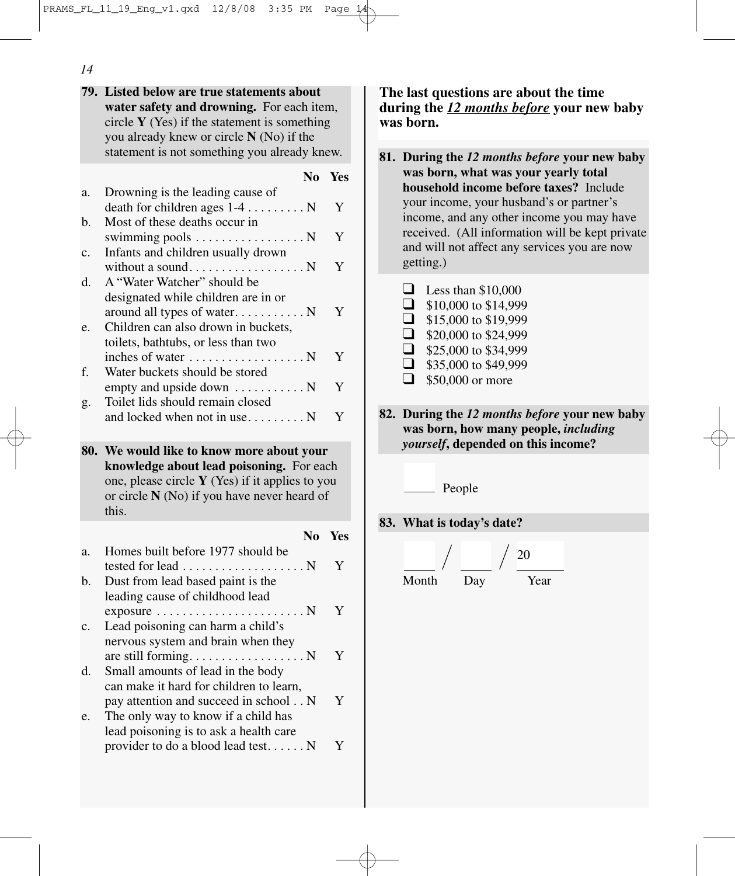**79. Listed below are true statements about water safety and drowning.** For each item, circle **Y** (Yes) if the statement is something you already knew or circle **N** (No) if the statement is not something you already knew.

**No Yes**

| a.  | Drowning is the leading cause of                             |            |
|-----|--------------------------------------------------------------|------------|
|     | death for children ages $1-4$ N                              | Y          |
| b.  | Most of these deaths occur in                                |            |
|     | swimming pools $\dots \dots \dots \dots \dots$               | Y          |
| c.  | Infants and children usually drown                           |            |
|     |                                                              | Y          |
| d.  | A "Water Watcher" should be                                  |            |
|     | designated while children are in or                          |            |
|     | around all types of water N                                  | Y          |
| e.  | Children can also drown in buckets,                          |            |
|     | toilets, bathtubs, or less than two                          |            |
|     |                                                              | Y          |
| f.  | Water buckets should be stored                               |            |
|     | empty and upside down $\dots \dots \dots$                    | Y          |
| g.  | Toilet lids should remain closed                             |            |
|     | and locked when not in use N                                 | Y          |
|     |                                                              |            |
|     |                                                              |            |
|     |                                                              |            |
| 80. | We would like to know more about your                        |            |
|     | knowledge about lead poisoning. For each                     |            |
|     | one, please circle $Y$ (Yes) if it applies to you            |            |
|     | or circle N (No) if you have never heard of<br>this.         |            |
|     |                                                              |            |
|     | N <sub>0</sub>                                               | <b>Yes</b> |
| a.  | Homes built before 1977 should be                            |            |
|     | tested for lead<br>$\ldots$ N                                | Y          |
| b.  | Dust from lead based paint is the                            |            |
|     | leading cause of childhood lead                              |            |
|     | $exposure \dots \dots \dots \dots \dots \dots$<br>$\ldots$ N | Y          |
| c.  | Lead poisoning can harm a child's                            |            |
|     | nervous system and brain when they                           |            |
|     | are still forming<br>$\ldots$ N                              | Y          |
| d.  | Small amounts of lead in the body                            |            |
|     | can make it hard for children to learn,                      |            |
|     | pay attention and succeed in school N                        | Y          |
| e.  | The only way to know if a child has                          |            |
|     | lead poisoning is to ask a health care                       |            |
|     | provider to do a blood lead test N                           | Y          |

**The last questions are about the time during the** *12 months before* **your new baby was born.** 

**81. During the** *12 months before* **your new baby was born, what was your yearly total household income before taxes?** Include your income, your husband's or partner's income, and any other income you may have received. (All information will be kept private and will not affect any services you are now getting.)

|          | Less than \$10,000   |
|----------|----------------------|
| ப        | \$10,000 to \$14,999 |
| ப        | \$15,000 to \$19,999 |
| ப        | \$20,000 to \$24,999 |
| ∣ 1      | \$25,000 to \$34,999 |
| $\sqcup$ | \$35,000 to \$49,999 |
|          | \$50,000 or more     |

**82. During the** *12 months before* **your new baby was born, how many people,** *including yourself***, depended on this income?**

People

**83. What is today's date?**